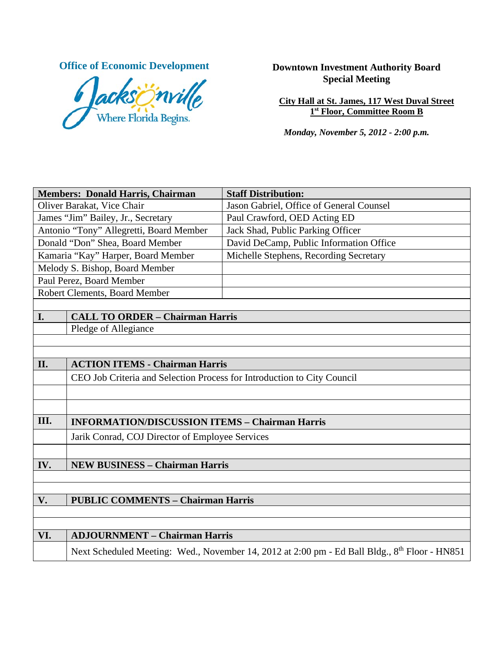

# **Office of Economic Development Downtown Investment Authority Board Special Meeting**

**City Hall at St. James, 117 West Duval Street 1st Floor, Committee Room B**

*Monday, November 5, 2012 - 2:00 p.m.*

| <b>Members: Donald Harris, Chairman</b> |                                                                                                           | <b>Staff Distribution:</b>               |  |
|-----------------------------------------|-----------------------------------------------------------------------------------------------------------|------------------------------------------|--|
| Oliver Barakat, Vice Chair              |                                                                                                           | Jason Gabriel, Office of General Counsel |  |
| James "Jim" Bailey, Jr., Secretary      |                                                                                                           | Paul Crawford, OED Acting ED             |  |
| Antonio "Tony" Allegretti, Board Member |                                                                                                           | Jack Shad, Public Parking Officer        |  |
| Donald "Don" Shea, Board Member         |                                                                                                           | David DeCamp, Public Information Office  |  |
| Kamaria "Kay" Harper, Board Member      |                                                                                                           | Michelle Stephens, Recording Secretary   |  |
| Melody S. Bishop, Board Member          |                                                                                                           |                                          |  |
| Paul Perez, Board Member                |                                                                                                           |                                          |  |
| Robert Clements, Board Member           |                                                                                                           |                                          |  |
|                                         |                                                                                                           |                                          |  |
| I.                                      | <b>CALL TO ORDER - Chairman Harris</b>                                                                    |                                          |  |
|                                         | Pledge of Allegiance                                                                                      |                                          |  |
|                                         |                                                                                                           |                                          |  |
| II.                                     | <b>ACTION ITEMS - Chairman Harris</b>                                                                     |                                          |  |
|                                         |                                                                                                           |                                          |  |
|                                         | CEO Job Criteria and Selection Process for Introduction to City Council                                   |                                          |  |
|                                         |                                                                                                           |                                          |  |
|                                         |                                                                                                           |                                          |  |
| III.                                    | <b>INFORMATION/DISCUSSION ITEMS - Chairman Harris</b>                                                     |                                          |  |
|                                         | Jarik Conrad, COJ Director of Employee Services                                                           |                                          |  |
|                                         |                                                                                                           |                                          |  |
| IV.                                     | <b>NEW BUSINESS - Chairman Harris</b>                                                                     |                                          |  |
|                                         |                                                                                                           |                                          |  |
|                                         |                                                                                                           |                                          |  |
| V.                                      | <b>PUBLIC COMMENTS - Chairman Harris</b>                                                                  |                                          |  |
|                                         |                                                                                                           |                                          |  |
|                                         |                                                                                                           |                                          |  |
| VI.                                     | <b>ADJOURNMENT - Chairman Harris</b>                                                                      |                                          |  |
|                                         | Next Scheduled Meeting: Wed., November 14, 2012 at 2:00 pm - Ed Ball Bldg., 8 <sup>th</sup> Floor - HN851 |                                          |  |
|                                         |                                                                                                           |                                          |  |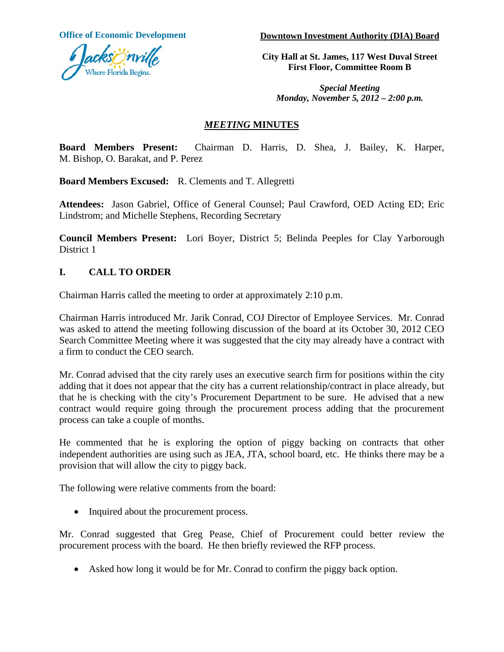

**Office of Economic Development Downtown Investment Authority (DIA) Board**

**City Hall at St. James, 117 West Duval Street First Floor, Committee Room B**

*Special Meeting Monday, November 5, 2012 – 2:00 p.m.*

### *MEETING* **MINUTES**

**Board Members Present:** Chairman D. Harris, D. Shea, J. Bailey, K. Harper, M. Bishop, O. Barakat, and P. Perez

**Board Members Excused:** R. Clements and T. Allegretti

**Attendees:** Jason Gabriel, Office of General Counsel; Paul Crawford, OED Acting ED; Eric Lindstrom; and Michelle Stephens, Recording Secretary

**Council Members Present:** Lori Boyer, District 5; Belinda Peeples for Clay Yarborough District 1

## **I. CALL TO ORDER**

Chairman Harris called the meeting to order at approximately 2:10 p.m.

Chairman Harris introduced Mr. Jarik Conrad, COJ Director of Employee Services. Mr. Conrad was asked to attend the meeting following discussion of the board at its October 30, 2012 CEO Search Committee Meeting where it was suggested that the city may already have a contract with a firm to conduct the CEO search.

Mr. Conrad advised that the city rarely uses an executive search firm for positions within the city adding that it does not appear that the city has a current relationship/contract in place already, but that he is checking with the city's Procurement Department to be sure. He advised that a new contract would require going through the procurement process adding that the procurement process can take a couple of months.

He commented that he is exploring the option of piggy backing on contracts that other independent authorities are using such as JEA, JTA, school board, etc. He thinks there may be a provision that will allow the city to piggy back.

The following were relative comments from the board:

• Inquired about the procurement process.

Mr. Conrad suggested that Greg Pease, Chief of Procurement could better review the procurement process with the board. He then briefly reviewed the RFP process.

• Asked how long it would be for Mr. Conrad to confirm the piggy back option.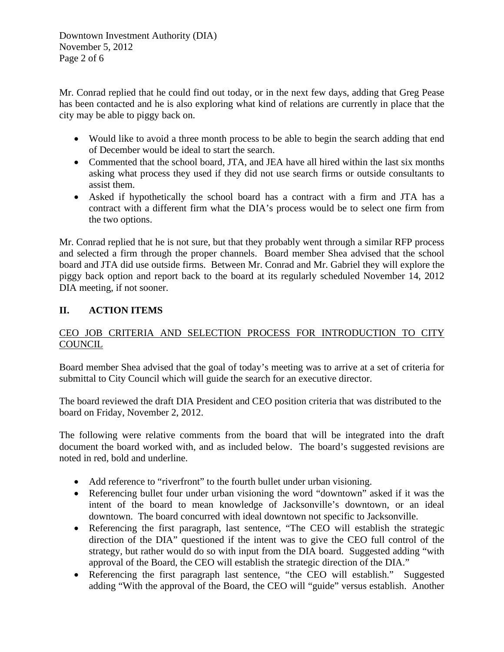Downtown Investment Authority (DIA) November 5, 2012 Page 2 of 6

Mr. Conrad replied that he could find out today, or in the next few days, adding that Greg Pease has been contacted and he is also exploring what kind of relations are currently in place that the city may be able to piggy back on.

- Would like to avoid a three month process to be able to begin the search adding that end of December would be ideal to start the search.
- Commented that the school board, JTA, and JEA have all hired within the last six months asking what process they used if they did not use search firms or outside consultants to assist them.
- Asked if hypothetically the school board has a contract with a firm and JTA has a contract with a different firm what the DIA's process would be to select one firm from the two options.

Mr. Conrad replied that he is not sure, but that they probably went through a similar RFP process and selected a firm through the proper channels. Board member Shea advised that the school board and JTA did use outside firms. Between Mr. Conrad and Mr. Gabriel they will explore the piggy back option and report back to the board at its regularly scheduled November 14, 2012 DIA meeting, if not sooner.

## **II. ACTION ITEMS**

## CEO JOB CRITERIA AND SELECTION PROCESS FOR INTRODUCTION TO CITY COUNCIL

Board member Shea advised that the goal of today's meeting was to arrive at a set of criteria for submittal to City Council which will guide the search for an executive director.

The board reviewed the draft DIA President and CEO position criteria that was distributed to the board on Friday, November 2, 2012.

The following were relative comments from the board that will be integrated into the draft document the board worked with, and as included below. The board's suggested revisions are noted in red, bold and underline.

- Add reference to "riverfront" to the fourth bullet under urban visioning.
- Referencing bullet four under urban visioning the word "downtown" asked if it was the intent of the board to mean knowledge of Jacksonville's downtown, or an ideal downtown. The board concurred with ideal downtown not specific to Jacksonville.
- Referencing the first paragraph, last sentence, "The CEO will establish the strategic direction of the DIA" questioned if the intent was to give the CEO full control of the strategy, but rather would do so with input from the DIA board. Suggested adding "with approval of the Board, the CEO will establish the strategic direction of the DIA."
- Referencing the first paragraph last sentence, "the CEO will establish." Suggested adding "With the approval of the Board, the CEO will "guide" versus establish. Another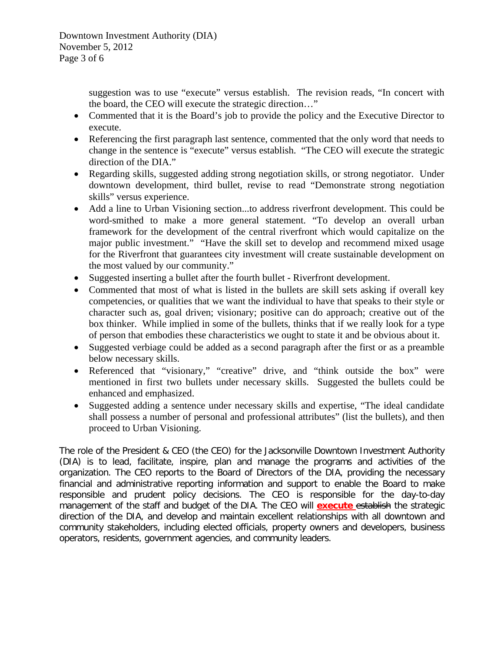suggestion was to use "execute" versus establish. The revision reads, "In concert with the board, the CEO will execute the strategic direction…"

- Commented that it is the Board's job to provide the policy and the Executive Director to execute.
- Referencing the first paragraph last sentence, commented that the only word that needs to change in the sentence is "execute" versus establish. "The CEO will execute the strategic direction of the DIA."
- Regarding skills, suggested adding strong negotiation skills, or strong negotiator. Under downtown development, third bullet, revise to read "Demonstrate strong negotiation skills" versus experience.
- Add a line to Urban Visioning section...to address riverfront development. This could be word-smithed to make a more general statement. "To develop an overall urban framework for the development of the central riverfront which would capitalize on the major public investment." "Have the skill set to develop and recommend mixed usage for the Riverfront that guarantees city investment will create sustainable development on the most valued by our community."
- Suggested inserting a bullet after the fourth bullet Riverfront development.
- Commented that most of what is listed in the bullets are skill sets asking if overall key competencies, or qualities that we want the individual to have that speaks to their style or character such as, goal driven; visionary; positive can do approach; creative out of the box thinker. While implied in some of the bullets, thinks that if we really look for a type of person that embodies these characteristics we ought to state it and be obvious about it.
- Suggested verbiage could be added as a second paragraph after the first or as a preamble below necessary skills.
- Referenced that "visionary," "creative" drive, and "think outside the box" were mentioned in first two bullets under necessary skills. Suggested the bullets could be enhanced and emphasized.
- Suggested adding a sentence under necessary skills and expertise, "The ideal candidate shall possess a number of personal and professional attributes" (list the bullets), and then proceed to Urban Visioning.

The role of the President & CEO (the CEO) for the Jacksonville Downtown Investment Authority (DIA) is to lead, facilitate, inspire, plan and manage the programs and activities of the organization. The CEO reports to the Board of Directors of the DIA, providing the necessary financial and administrative reporting information and support to enable the Board to make responsible and prudent policy decisions. The CEO is responsible for the day-to-day management of the staff and budget of the DIA. The CEO will **execute** establish the strategic direction of the DIA, and develop and maintain excellent relationships with all downtown and community stakeholders, including elected officials, property owners and developers, business operators, residents, government agencies, and community leaders.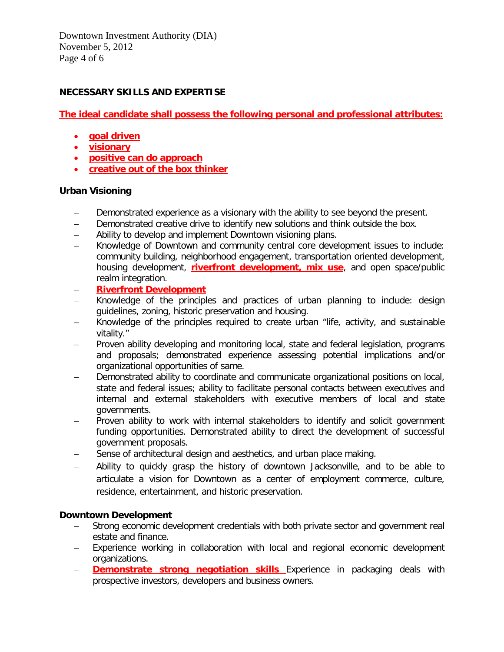Downtown Investment Authority (DIA) November 5, 2012 Page 4 of 6

#### **NECESSARY SKILLS AND EXPERTISE**

**The ideal candidate shall possess the following personal and professional attributes:**

- **goal driven**
- **visionary**
- **positive can do approach**
- **creative out of the box thinker**

#### **Urban Visioning**

- − Demonstrated experience as a visionary with the ability to see beyond the present.
- − Demonstrated creative drive to identify new solutions and think outside the box.
- − Ability to develop and implement Downtown visioning plans.
- − Knowledge of Downtown and community central core development issues to include: community building, neighborhood engagement, transportation oriented development, housing development, **riverfront development, mix use**, and open space/public realm integration.
- − **Riverfront Development**
- − Knowledge of the principles and practices of urban planning to include: design guidelines, zoning, historic preservation and housing.
- Knowledge of the principles required to create urban "life, activity, and sustainable vitality."
- − Proven ability developing and monitoring local, state and federal legislation, programs and proposals; demonstrated experience assessing potential implications and/or organizational opportunities of same.
- − Demonstrated ability to coordinate and communicate organizational positions on local, state and federal issues; ability to facilitate personal contacts between executives and internal and external stakeholders with executive members of local and state governments.
- Proven ability to work with internal stakeholders to identify and solicit government funding opportunities. Demonstrated ability to direct the development of successful government proposals.
- Sense of architectural design and aesthetics, and urban place making.
- − Ability to quickly grasp the history of downtown Jacksonville, and to be able to articulate a vision for Downtown as a center of employment commerce, culture, residence, entertainment, and historic preservation.

#### **Downtown Development**

- Strong economic development credentials with both private sector and government real estate and finance.
- Experience working in collaboration with local and regional economic development organizations.
- − **Demonstrate strong negotiation skills** Experience in packaging deals with prospective investors, developers and business owners.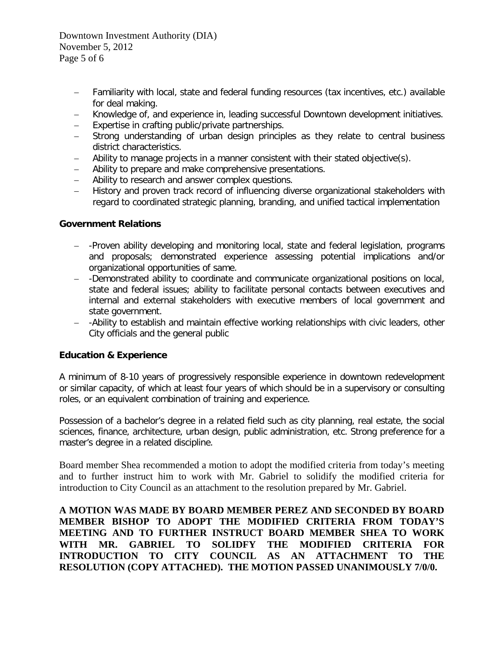Downtown Investment Authority (DIA) November 5, 2012 Page 5 of 6

- − Familiarity with local, state and federal funding resources (tax incentives, etc.) available for deal making.
- − Knowledge of, and experience in, leading successful Downtown development initiatives.
- − Expertise in crafting public/private partnerships.
- − Strong understanding of urban design principles as they relate to central business district characteristics.
- − Ability to manage projects in a manner consistent with their stated objective(s).
- − Ability to prepare and make comprehensive presentations.
- − Ability to research and answer complex questions.
- − History and proven track record of influencing diverse organizational stakeholders with regard to coordinated strategic planning, branding, and unified tactical implementation

#### **Government Relations**

- − -Proven ability developing and monitoring local, state and federal legislation, programs and proposals; demonstrated experience assessing potential implications and/or organizational opportunities of same.
- − -Demonstrated ability to coordinate and communicate organizational positions on local, state and federal issues; ability to facilitate personal contacts between executives and internal and external stakeholders with executive members of local government and state government.
- − -Ability to establish and maintain effective working relationships with civic leaders, other City officials and the general public

#### **Education & Experience**

A minimum of 8-10 years of progressively responsible experience in downtown redevelopment or similar capacity, of which at least four years of which should be in a supervisory or consulting roles, or an equivalent combination of training and experience.

Possession of a bachelor's degree in a related field such as city planning, real estate, the social sciences, finance, architecture, urban design, public administration, etc. Strong preference for a master's degree in a related discipline.

Board member Shea recommended a motion to adopt the modified criteria from today's meeting and to further instruct him to work with Mr. Gabriel to solidify the modified criteria for introduction to City Council as an attachment to the resolution prepared by Mr. Gabriel.

**A MOTION WAS MADE BY BOARD MEMBER PEREZ AND SECONDED BY BOARD MEMBER BISHOP TO ADOPT THE MODIFIED CRITERIA FROM TODAY'S MEETING AND TO FURTHER INSTRUCT BOARD MEMBER SHEA TO WORK WITH MR. GABRIEL TO SOLIDFY THE MODIFIED CRITERIA FOR INTRODUCTION TO CITY COUNCIL AS AN ATTACHMENT TO THE RESOLUTION (COPY ATTACHED). THE MOTION PASSED UNANIMOUSLY 7/0/0.**